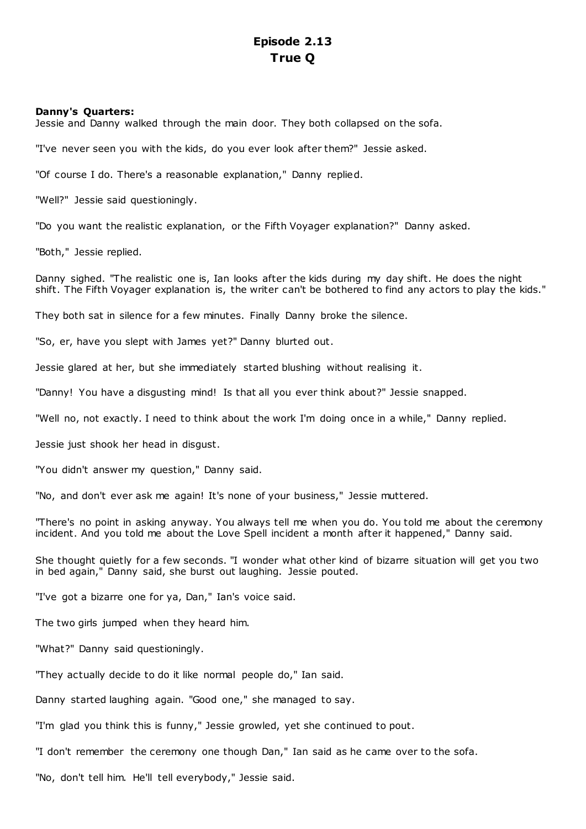# **Episode 2.13 True Q**

# **Danny's Quarters:**

Jessie and Danny walked through the main door. They both collapsed on the sofa.

"I've never seen you with the kids, do you ever look after them?" Jessie asked.

"Of course I do. There's a reasonable explanation," Danny replied.

"Well?" Jessie said questioningly.

"Do you want the realistic explanation, or the Fifth Voyager explanation?" Danny asked.

"Both," Jessie replied.

Danny sighed. "The realistic one is, Ian looks after the kids during my day shift. He does the night shift. The Fifth Voyager explanation is, the writer can't be bothered to find any actors to play the kids."

They both sat in silence for a few minutes. Finally Danny broke the silence.

"So, er, have you slept with James yet?" Danny blurted out.

Jessie glared at her, but she immediately started blushing without realising it.

"Danny! You have a disgusting mind! Is that all you ever think about?" Jessie snapped.

"Well no, not exactly. I need to think about the work I'm doing once in a while," Danny replied.

Jessie just shook her head in disgust.

"You didn't answer my question," Danny said.

"No, and don't ever ask me again! It's none of your business," Jessie muttered.

"There's no point in asking anyway. You always tell me when you do. You told me about the ceremony incident. And you told me about the Love Spell incident a month after it happened," Danny said.

She thought quietly for a few seconds. "I wonder what other kind of bizarre situation will get you two in bed again," Danny said, she burst out laughing. Jessie pouted.

"I've got a bizarre one for ya, Dan," Ian's voice said.

The two girls jumped when they heard him.

"What?" Danny said questioningly.

"They actually decide to do it like normal people do," Ian said.

Danny started laughing again. "Good one," she managed to say.

"I'm glad you think this is funny," Jessie growled, yet she continued to pout.

"I don't remember the ceremony one though Dan," Ian said as he came over to the sofa.

"No, don't tell him. He'll tell everybody," Jessie said.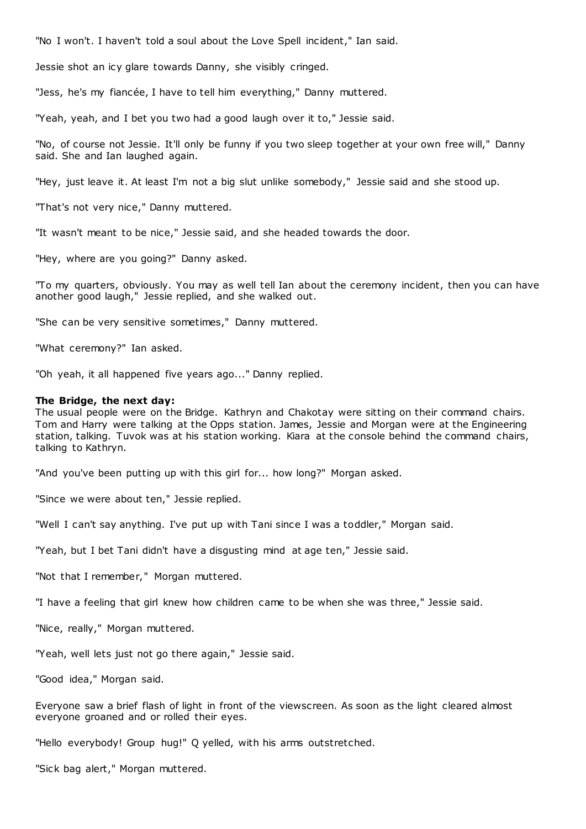"No I won't. I haven't told a soul about the Love Spell incident," Ian said.

Jessie shot an icy glare towards Danny, she visibly cringed.

"Jess, he's my fiancée, I have to tell him everything," Danny muttered.

"Yeah, yeah, and I bet you two had a good laugh over it to," Jessie said.

"No, of course not Jessie. It'll only be funny if you two sleep together at your own free will," Danny said. She and Ian laughed again.

"Hey, just leave it. At least I'm not a big slut unlike somebody," Jessie said and she stood up.

"That's not very nice," Danny muttered.

"It wasn't meant to be nice," Jessie said, and she headed towards the door.

"Hey, where are you going?" Danny asked.

"To my quarters, obviously. You may as well tell Ian about the ceremony incident, then you can have another good laugh," Jessie replied, and she walked out.

"She can be very sensitive sometimes," Danny muttered.

"What ceremony?" Ian asked.

"Oh yeah, it all happened five years ago..." Danny replied.

#### **The Bridge, the next day:**

The usual people were on the Bridge. Kathryn and Chakotay were sitting on their command chairs. Tom and Harry were talking at the Opps station. James, Jessie and Morgan were at the Engineering station, talking. Tuvok was at his station working. Kiara at the console behind the command chairs, talking to Kathryn.

"And you've been putting up with this girl for... how long?" Morgan asked.

"Since we were about ten," Jessie replied.

"Well I can't say anything. I've put up with Tani since I was a toddler," Morgan said.

"Yeah, but I bet Tani didn't have a disgusting mind at age ten," Jessie said.

"Not that I remember," Morgan muttered.

"I have a feeling that girl knew how children came to be when she was three," Jessie said.

"Nice, really," Morgan muttered.

"Yeah, well lets just not go there again," Jessie said.

"Good idea," Morgan said.

Everyone saw a brief flash of light in front of the viewscreen. As soon as the light cleared almost everyone groaned and or rolled their eyes.

"Hello everybody! Group hug!" Q yelled, with his arms outstretched.

"Sick bag alert," Morgan muttered.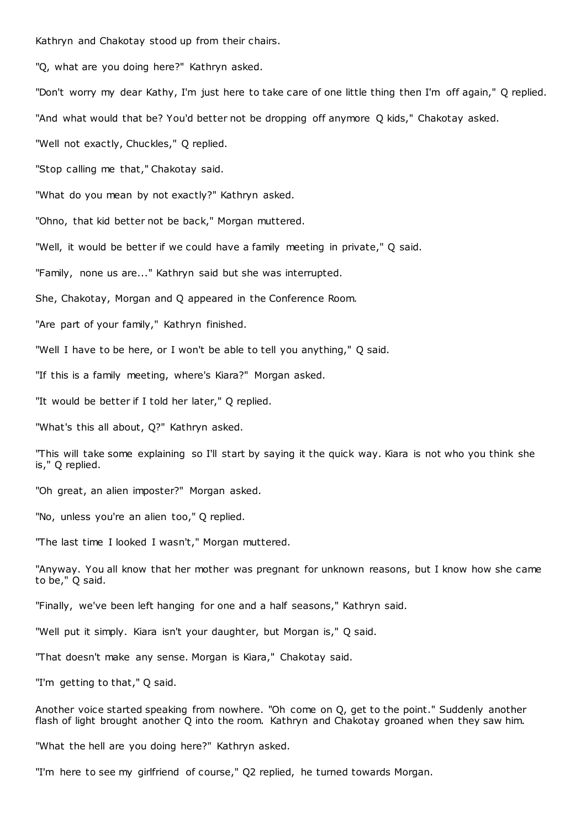Kathryn and Chakotay stood up from their chairs.

"Q, what are you doing here?" Kathryn asked.

"Don't worry my dear Kathy, I'm just here to take care of one little thing then I'm off again," Q replied.

"And what would that be? You'd better not be dropping off anymore Q kids," Chakotay asked.

"Well not exactly, Chuckles," Q replied.

"Stop calling me that," Chakotay said.

"What do you mean by not exactly?" Kathryn asked.

"Ohno, that kid better not be back," Morgan muttered.

"Well, it would be better if we could have a family meeting in private," Q said.

"Family, none us are..." Kathryn said but she was interrupted.

She, Chakotay, Morgan and Q appeared in the Conference Room.

"Are part of your family," Kathryn finished.

"Well I have to be here, or I won't be able to tell you anything," Q said.

"If this is a family meeting, where's Kiara?" Morgan asked.

"It would be better if I told her later," Q replied.

"What's this all about, Q?" Kathryn asked.

"This will take some explaining so I'll start by saying it the quick way. Kiara is not who you think she is," Q replied.

"Oh great, an alien imposter?" Morgan asked.

"No, unless you're an alien too," Q replied.

"The last time I looked I wasn't," Morgan muttered.

"Anyway. You all know that her mother was pregnant for unknown reasons, but I know how she came to be," Q said.

"Finally, we've been left hanging for one and a half seasons," Kathryn said.

"Well put it simply. Kiara isn't your daughter, but Morgan is," Q said.

"That doesn't make any sense. Morgan is Kiara," Chakotay said.

"I'm getting to that," Q said.

Another voice started speaking from nowhere. "Oh come on Q, get to the point." Suddenly another flash of light brought another Q into the room. Kathryn and Chakotay groaned when they saw him.

"What the hell are you doing here?" Kathryn asked.

"I'm here to see my girlfriend of course," Q2 replied, he turned towards Morgan.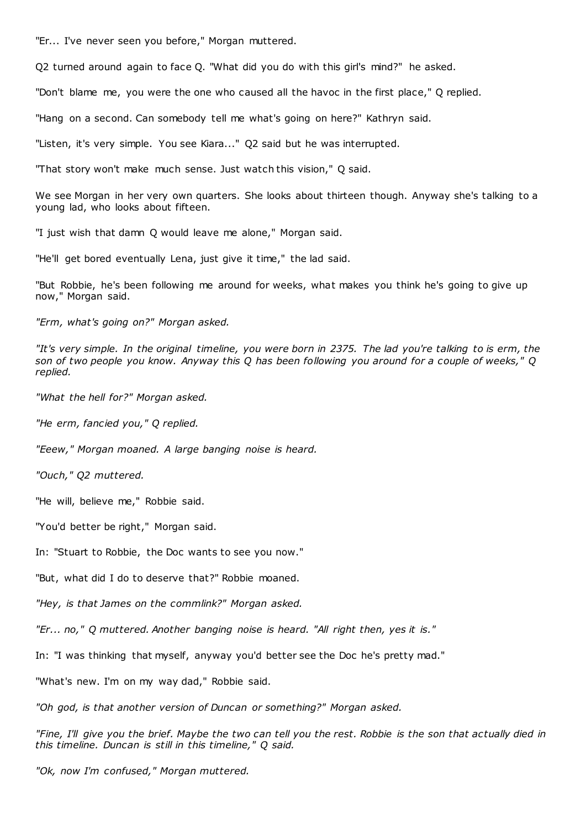"Er... I've never seen you before," Morgan muttered.

Q2 turned around again to face Q. "What did you do with this girl's mind?" he asked.

"Don't blame me, you were the one who caused all the havoc in the first place," Q replied.

"Hang on a second. Can somebody tell me what's going on here?" Kathryn said.

"Listen, it's very simple. You see Kiara..." Q2 said but he was interrupted.

"That story won't make much sense. Just watch this vision," Q said.

We see Morgan in her very own quarters. She looks about thirteen though. Anyway she's talking to a young lad, who looks about fifteen.

"I just wish that damn Q would leave me alone," Morgan said.

"He'll get bored eventually Lena, just give it time," the lad said.

"But Robbie, he's been following me around for weeks, what makes you think he's going to give up now," Morgan said.

*"Erm, what's going on?" Morgan asked.*

*"It's very simple. In the original timeline, you were born in 2375. The lad you're talking to is erm, the son of two people you know. Anyway this Q has been following you around for a couple of weeks," Q replied.*

*"What the hell for?" Morgan asked.*

*"He erm, fancied you," Q replied.*

*"Eeew," Morgan moaned. A large banging noise is heard.*

*"Ouch," Q2 muttered.*

"He will, believe me," Robbie said.

"You'd better be right," Morgan said.

In: "Stuart to Robbie, the Doc wants to see you now."

"But, what did I do to deserve that?" Robbie moaned.

*"Hey, is that James on the commlink?" Morgan asked.*

*"Er... no," Q muttered. Another banging noise is heard. "All right then, yes it is."*

In: "I was thinking that myself, anyway you'd better see the Doc he's pretty mad."

"What's new. I'm on my way dad," Robbie said.

*"Oh god, is that another version of Duncan or something?" Morgan asked.*

*"Fine, I'll give you the brief. Maybe the two can tell you the rest. Robbie is the son that actually died in this timeline. Duncan is still in this timeline," Q said.*

*"Ok, now I'm confused," Morgan muttered.*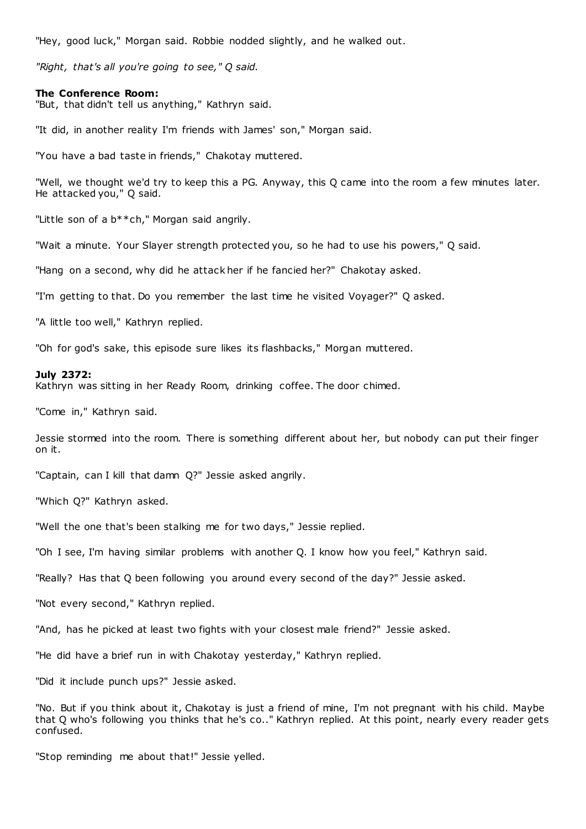"Hey, good luck," Morgan said. Robbie nodded slightly, and he walked out.

*"Right, that's all you're going to see," Q said.*

#### **The Conference Room:**

"But, that didn't tell us anything," Kathryn said.

"It did, in another reality I'm friends with James' son," Morgan said.

"You have a bad taste in friends," Chakotay muttered.

"Well, we thought we'd try to keep this a PG. Anyway, this Q came into the room a few minutes later. He attacked you," Q said.

"Little son of a b\*\*ch," Morgan said angrily.

"Wait a minute. Your Slayer strength protected you, so he had to use his powers," Q said.

"Hang on a second, why did he attack her if he fancied her?" Chakotay asked.

"I'm getting to that. Do you remember the last time he visited Voyager?" Q asked.

"A little too well," Kathryn replied.

"Oh for god's sake, this episode sure likes its flashbacks," Morgan muttered.

#### **July 2372:**

Kathryn was sitting in her Ready Room, drinking coffee. The door chimed.

"Come in," Kathryn said.

Jessie stormed into the room. There is something different about her, but nobody can put their finger on it.

"Captain, can I kill that damn Q?" Jessie asked angrily.

"Which Q?" Kathryn asked.

"Well the one that's been stalking me for two days," Jessie replied.

"Oh I see, I'm having similar problems with another Q. I know how you feel," Kathryn said.

"Really? Has that Q been following you around every second of the day?" Jessie asked.

"Not every second," Kathryn replied.

"And, has he picked at least two fights with your closest male friend?" Jessie asked.

"He did have a brief run in with Chakotay yesterday," Kathryn replied.

"Did it include punch ups?" Jessie asked.

"No. But if you think about it, Chakotay is just a friend of mine, I'm not pregnant with his child. Maybe that Q who's following you thinks that he's co.." Kathryn replied. At this point, nearly every reader gets confused.

"Stop reminding me about that!" Jessie yelled.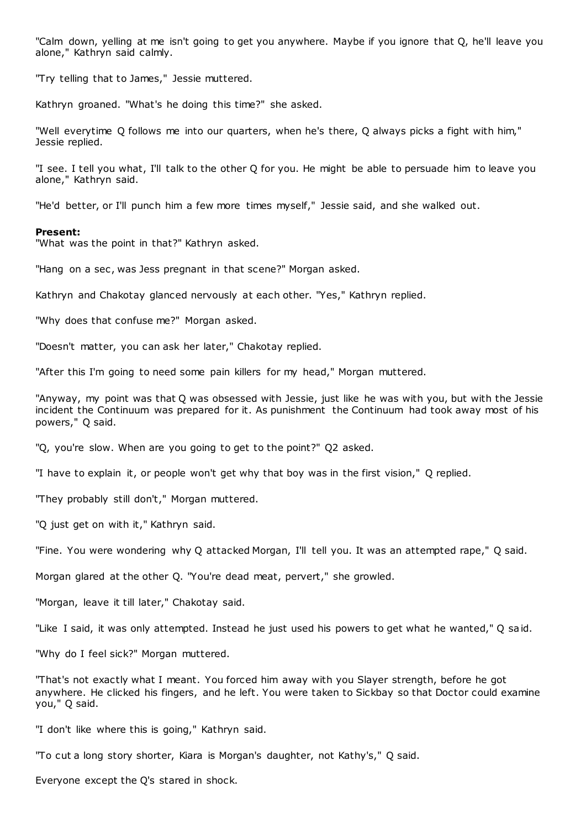"Calm down, yelling at me isn't going to get you anywhere. Maybe if you ignore that Q, he'll leave you alone," Kathryn said calmly.

"Try telling that to James," Jessie muttered.

Kathryn groaned. "What's he doing this time?" she asked.

"Well everytime Q follows me into our quarters, when he's there, Q always picks a fight with him," Jessie replied.

"I see. I tell you what, I'll talk to the other Q for you. He might be able to persuade him to leave you alone," Kathryn said.

"He'd better, or I'll punch him a few more times myself," Jessie said, and she walked out.

### **Present:**

"What was the point in that?" Kathryn asked.

"Hang on a sec, was Jess pregnant in that scene?" Morgan asked.

Kathryn and Chakotay glanced nervously at each other. "Yes," Kathryn replied.

"Why does that confuse me?" Morgan asked.

"Doesn't matter, you can ask her later," Chakotay replied.

"After this I'm going to need some pain killers for my head," Morgan muttered.

"Anyway, my point was that Q was obsessed with Jessie, just like he was with you, but with the Jessie incident the Continuum was prepared for it. As punishment the Continuum had took away most of his powers," Q said.

"Q, you're slow. When are you going to get to the point?" Q2 asked.

"I have to explain it, or people won't get why that boy was in the first vision," Q replied.

"They probably still don't," Morgan muttered.

"Q just get on with it," Kathryn said.

"Fine. You were wondering why Q attacked Morgan, I'll tell you. It was an attempted rape," Q said.

Morgan glared at the other Q. "You're dead meat, pervert," she growled.

"Morgan, leave it till later," Chakotay said.

"Like I said, it was only attempted. Instead he just used his powers to get what he wanted," Q said.

"Why do I feel sick?" Morgan muttered.

"That's not exactly what I meant. You forced him away with you Slayer strength, before he got anywhere. He clicked his fingers, and he left. You were taken to Sickbay so that Doctor could examine you," Q said.

"I don't like where this is going," Kathryn said.

"To cut a long story shorter, Kiara is Morgan's daughter, not Kathy's," Q said.

Everyone except the Q's stared in shock.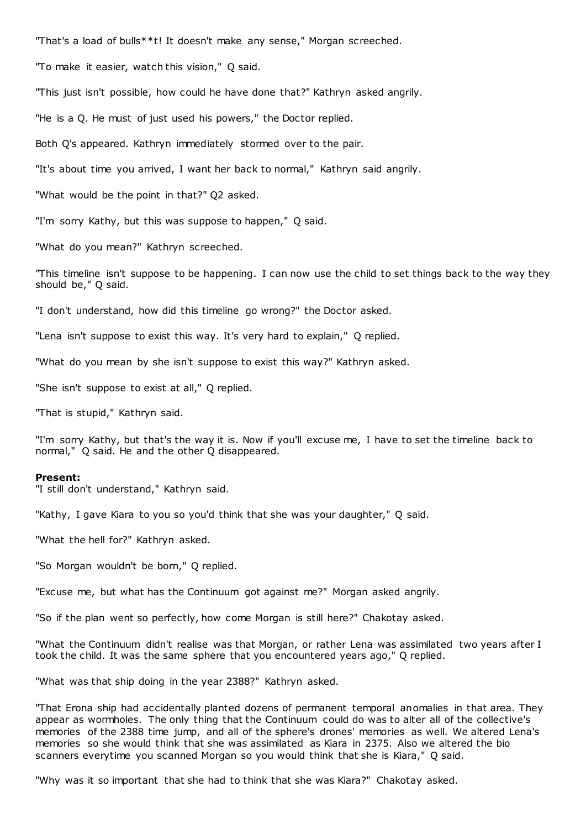"That's a load of bulls\*\*t! It doesn't make any sense," Morgan screeched.

"To make it easier, watch this vision," Q said.

"This just isn't possible, how could he have done that?" Kathryn asked angrily.

"He is a Q. He must of just used his powers," the Doctor replied.

Both Q's appeared. Kathryn immediately stormed over to the pair.

"It's about time you arrived, I want her back to normal," Kathryn said angrily.

"What would be the point in that?" Q2 asked.

"I'm sorry Kathy, but this was suppose to happen," Q said.

"What do you mean?" Kathryn screeched.

"This timeline isn't suppose to be happening. I can now use the child to set things back to the way they should be," Q said.

"I don't understand, how did this timeline go wrong?" the Doctor asked.

"Lena isn't suppose to exist this way. It's very hard to explain," Q replied.

"What do you mean by she isn't suppose to exist this way?" Kathryn asked.

"She isn't suppose to exist at all," Q replied.

"That is stupid," Kathryn said.

"I'm sorry Kathy, but that's the way it is. Now if you'll excuse me, I have to set the timeline back to normal," Q said. He and the other Q disappeared.

# **Present:**

"I still don't understand," Kathryn said.

"Kathy, I gave Kiara to you so you'd think that she was your daughter," Q said.

"What the hell for?" Kathryn asked.

"So Morgan wouldn't be born," Q replied.

"Excuse me, but what has the Continuum got against me?" Morgan asked angrily.

"So if the plan went so perfectly, how come Morgan is still here?" Chakotay asked.

"What the Continuum didn't realise was that Morgan, or rather Lena was assimilated two years after I took the child. It was the same sphere that you encountered years ago," Q replied.

"What was that ship doing in the year 2388?" Kathryn asked.

"That Erona ship had accidentally planted dozens of permanent temporal anomalies in that area. They appear as wormholes. The only thing that the Continuum could do was to alter all of the collective's memories of the 2388 time jump, and all of the sphere's drones' memories as well. We altered Lena's memories so she would think that she was assimilated as Kiara in 2375. Also we altered the bio scanners everytime you scanned Morgan so you would think that she is Kiara," Q said.

"Why was it so important that she had to think that she was Kiara?" Chakotay asked.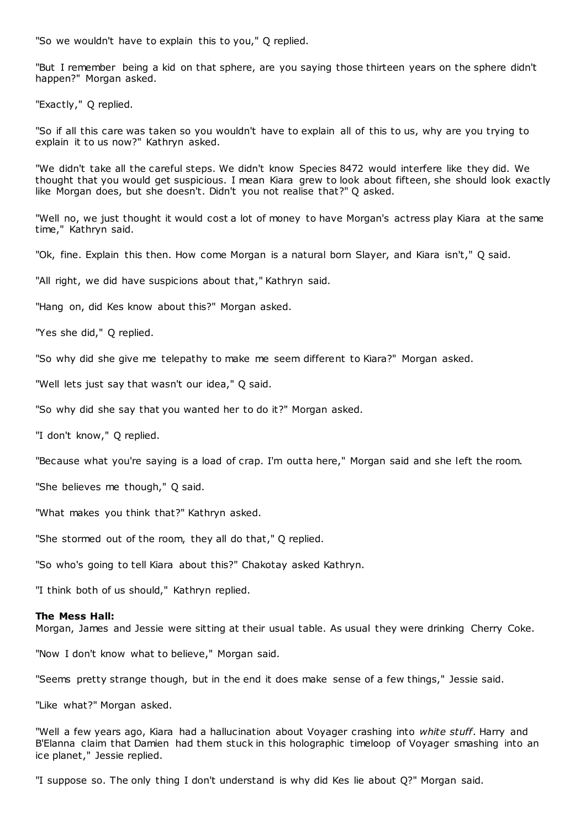"So we wouldn't have to explain this to you," Q replied.

"But I remember being a kid on that sphere, are you saying those thirteen years on the sphere didn't happen?" Morgan asked.

"Exactly," Q replied.

"So if all this care was taken so you wouldn't have to explain all of this to us, why are you trying to explain it to us now?" Kathryn asked.

"We didn't take all the careful steps. We didn't know Species 8472 would interfere like they did. We thought that you would get suspicious. I mean Kiara grew to look about fifteen, she should look exactly like Morgan does, but she doesn't. Didn't you not realise that?" Q asked.

"Well no, we just thought it would cost a lot of money to have Morgan's actress play Kiara at the same time," Kathryn said.

"Ok, fine. Explain this then. How come Morgan is a natural born Slayer, and Kiara isn't," Q said.

"All right, we did have suspicions about that," Kathryn said.

"Hang on, did Kes know about this?" Morgan asked.

"Yes she did," Q replied.

"So why did she give me telepathy to make me seem different to Kiara?" Morgan asked.

"Well lets just say that wasn't our idea," Q said.

"So why did she say that you wanted her to do it?" Morgan asked.

"I don't know," Q replied.

"Because what you're saying is a load of crap. I'm outta here," Morgan said and she left the room.

"She believes me though," Q said.

"What makes you think that?" Kathryn asked.

"She stormed out of the room, they all do that," Q replied.

"So who's going to tell Kiara about this?" Chakotay asked Kathryn.

"I think both of us should," Kathryn replied.

### **The Mess Hall:**

Morgan, James and Jessie were sitting at their usual table. As usual they were drinking Cherry Coke.

"Now I don't know what to believe," Morgan said.

"Seems pretty strange though, but in the end it does make sense of a few things," Jessie said.

"Like what?" Morgan asked.

"Well a few years ago, Kiara had a hallucination about Voyager crashing into *white stuff*. Harry and B'Elanna claim that Damien had them stuck in this holographic timeloop of Voyager smashing into an ice planet," Jessie replied.

"I suppose so. The only thing I don't understand is why did Kes lie about Q?" Morgan said.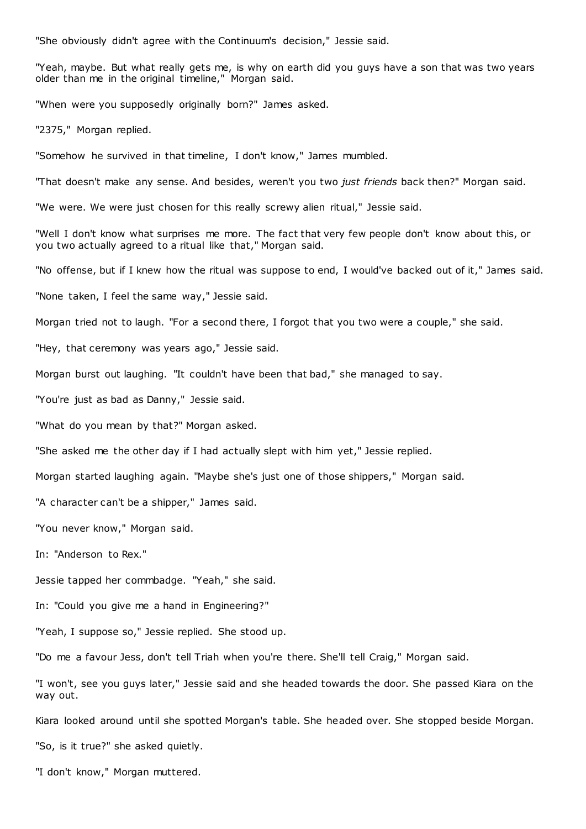"She obviously didn't agree with the Continuum's decision," Jessie said.

"Yeah, maybe. But what really gets me, is why on earth did you guys have a son that was two years older than me in the original timeline," Morgan said.

"When were you supposedly originally born?" James asked.

"2375," Morgan replied.

"Somehow he survived in that timeline, I don't know," James mumbled.

"That doesn't make any sense. And besides, weren't you two *just friends* back then?" Morgan said.

"We were. We were just chosen for this really screwy alien ritual," Jessie said.

"Well I don't know what surprises me more. The fact that very few people don't know about this, or you two actually agreed to a ritual like that," Morgan said.

"No offense, but if I knew how the ritual was suppose to end, I would've backed out of it," James said.

"None taken, I feel the same way," Jessie said.

Morgan tried not to laugh. "For a second there, I forgot that you two were a couple," she said.

"Hey, that ceremony was years ago," Jessie said.

Morgan burst out laughing. "It couldn't have been that bad," she managed to say.

"You're just as bad as Danny," Jessie said.

"What do you mean by that?" Morgan asked.

"She asked me the other day if I had actually slept with him yet," Jessie replied.

Morgan started laughing again. "Maybe she's just one of those shippers," Morgan said.

"A character can't be a shipper," James said.

"You never know," Morgan said.

In: "Anderson to Rex."

Jessie tapped her commbadge. "Yeah," she said.

In: "Could you give me a hand in Engineering?"

"Yeah, I suppose so," Jessie replied. She stood up.

"Do me a favour Jess, don't tell Triah when you're there. She'll tell Craig," Morgan said.

"I won't, see you guys later," Jessie said and she headed towards the door. She passed Kiara on the way out.

Kiara looked around until she spotted Morgan's table. She headed over. She stopped beside Morgan.

"So, is it true?" she asked quietly.

"I don't know," Morgan muttered.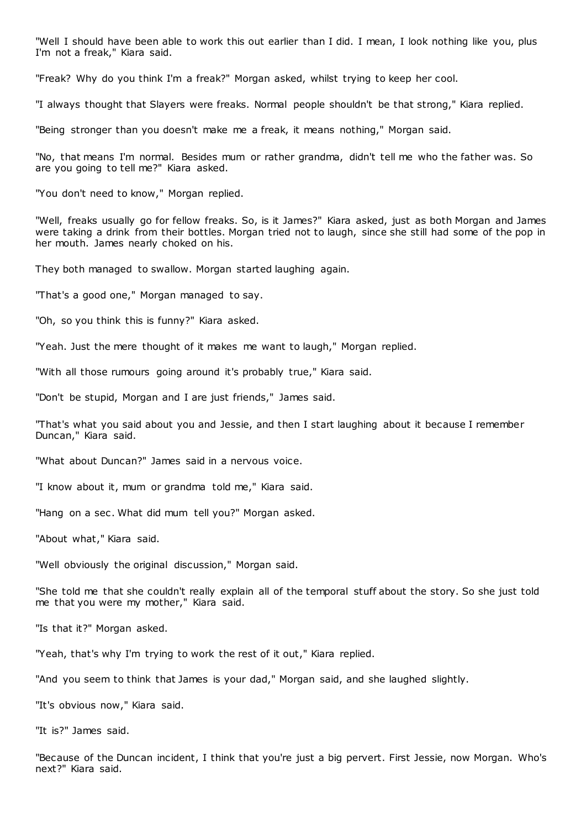"Well I should have been able to work this out earlier than I did. I mean, I look nothing like you, plus I'm not a freak," Kiara said.

"Freak? Why do you think I'm a freak?" Morgan asked, whilst trying to keep her cool.

"I always thought that Slayers were freaks. Normal people shouldn't be that strong," Kiara replied.

"Being stronger than you doesn't make me a freak, it means nothing," Morgan said.

"No, that means I'm normal. Besides mum or rather grandma, didn't tell me who the father was. So are you going to tell me?" Kiara asked.

"You don't need to know," Morgan replied.

"Well, freaks usually go for fellow freaks. So, is it James?" Kiara asked, just as both Morgan and James were taking a drink from their bottles. Morgan tried not to laugh, since she still had some of the pop in her mouth. James nearly choked on his.

They both managed to swallow. Morgan started laughing again.

"That's a good one," Morgan managed to say.

"Oh, so you think this is funny?" Kiara asked.

"Yeah. Just the mere thought of it makes me want to laugh," Morgan replied.

"With all those rumours going around it's probably true," Kiara said.

"Don't be stupid, Morgan and I are just friends," James said.

"That's what you said about you and Jessie, and then I start laughing about it because I remember Duncan," Kiara said.

"What about Duncan?" James said in a nervous voice.

"I know about it, mum or grandma told me," Kiara said.

"Hang on a sec. What did mum tell you?" Morgan asked.

"About what," Kiara said.

"Well obviously the original discussion," Morgan said.

"She told me that she couldn't really explain all of the temporal stuff about the story. So she just told me that you were my mother," Kiara said.

"Is that it?" Morgan asked.

"Yeah, that's why I'm trying to work the rest of it out," Kiara replied.

"And you seem to think that James is your dad," Morgan said, and she laughed slightly.

"It's obvious now," Kiara said.

"It is?" James said.

"Because of the Duncan incident, I think that you're just a big pervert. First Jessie, now Morgan. Who's next?" Kiara said.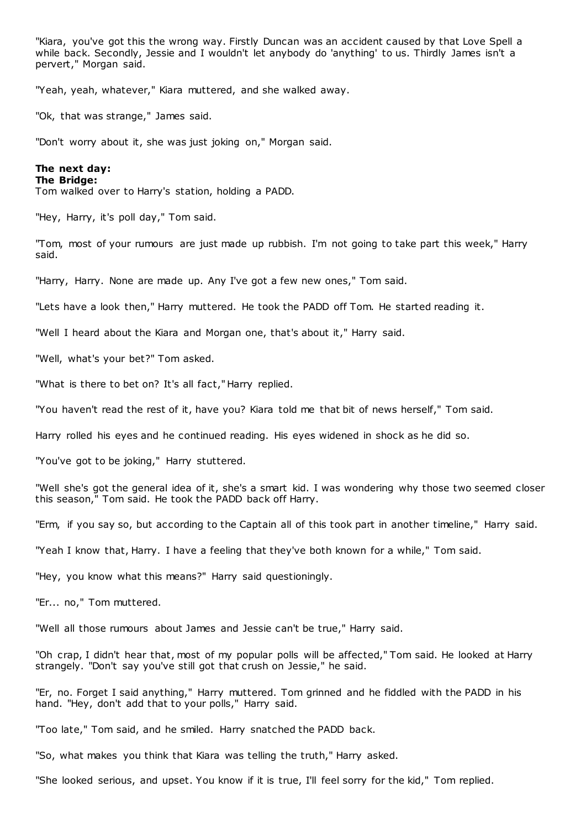"Kiara, you've got this the wrong way. Firstly Duncan was an accident caused by that Love Spell a while back. Secondly, Jessie and I wouldn't let anybody do 'anything' to us. Thirdly James isn't a pervert," Morgan said.

"Yeah, yeah, whatever," Kiara muttered, and she walked away.

"Ok, that was strange," James said.

"Don't worry about it, she was just joking on," Morgan said.

# **The next day:**

# **The Bridge:**

Tom walked over to Harry's station, holding a PADD.

"Hey, Harry, it's poll day," Tom said.

"Tom, most of your rumours are just made up rubbish. I'm not going to take part this week," Harry said.

"Harry, Harry. None are made up. Any I've got a few new ones," Tom said.

"Lets have a look then," Harry muttered. He took the PADD off Tom. He started reading it.

"Well I heard about the Kiara and Morgan one, that's about it," Harry said.

"Well, what's your bet?" Tom asked.

"What is there to bet on? It's all fact," Harry replied.

"You haven't read the rest of it, have you? Kiara told me that bit of news herself," Tom said.

Harry rolled his eyes and he continued reading. His eyes widened in shock as he did so.

"You've got to be joking," Harry stuttered.

"Well she's got the general idea of it, she's a smart kid. I was wondering why those two seemed closer this season," Tom said. He took the PADD back off Harry.

"Erm, if you say so, but according to the Captain all of this took part in another timeline," Harry said.

"Yeah I know that, Harry. I have a feeling that they've both known for a while," Tom said.

"Hey, you know what this means?" Harry said questioningly.

"Er... no," Tom muttered.

"Well all those rumours about James and Jessie can't be true," Harry said.

"Oh crap, I didn't hear that, most of my popular polls will be affected," Tom said. He looked at Harry strangely. "Don't say you've still got that crush on Jessie," he said.

"Er, no. Forget I said anything," Harry muttered. Tom grinned and he fiddled with the PADD in his hand. "Hey, don't add that to your polls," Harry said.

"Too late," Tom said, and he smiled. Harry snatched the PADD back.

"So, what makes you think that Kiara was telling the truth," Harry asked.

"She looked serious, and upset. You know if it is true, I'll feel sorry for the kid," Tom replied.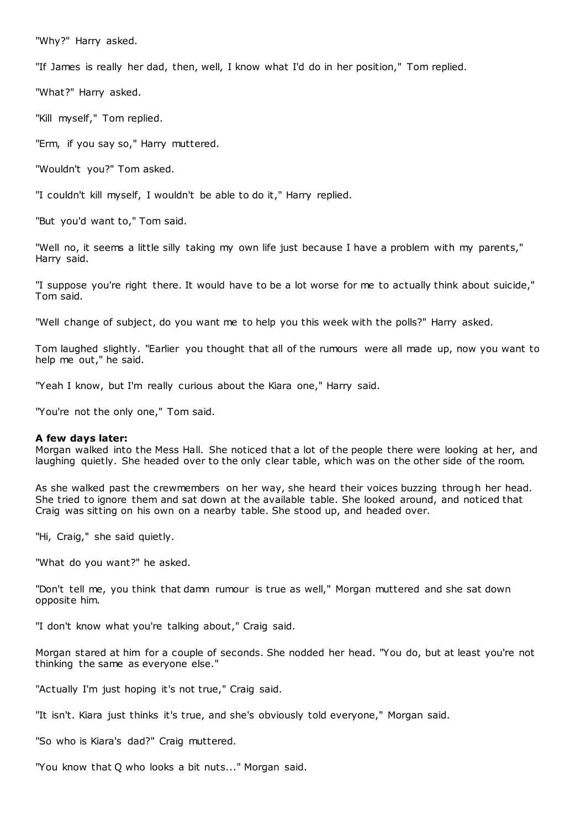"Why?" Harry asked.

"If James is really her dad, then, well, I know what I'd do in her position," Tom replied.

"What?" Harry asked.

"Kill myself," Tom replied.

"Erm, if you say so," Harry muttered.

"Wouldn't you?" Tom asked.

"I couldn't kill myself, I wouldn't be able to do it," Harry replied.

"But you'd want to," Tom said.

"Well no, it seems a little silly taking my own life just because I have a problem with my parents," Harry said.

"I suppose you're right there. It would have to be a lot worse for me to actually think about suicide," Tom said.

"Well change of subject, do you want me to help you this week with the polls?" Harry asked.

Tom laughed slightly. "Earlier you thought that all of the rumours were all made up, now you want to help me out," he said.

"Yeah I know, but I'm really curious about the Kiara one," Harry said.

"You're not the only one," Tom said.

### **A few days later:**

Morgan walked into the Mess Hall. She noticed that a lot of the people there were looking at her, and laughing quietly. She headed over to the only clear table, which was on the other side of the room.

As she walked past the crewmembers on her way, she heard their voices buzzing through her head. She tried to ignore them and sat down at the available table. She looked around, and noticed that Craig was sitting on his own on a nearby table. She stood up, and headed over.

"Hi, Craig," she said quietly.

"What do you want?" he asked.

"Don't tell me, you think that damn rumour is true as well," Morgan muttered and she sat down opposite him.

"I don't know what you're talking about," Craig said.

Morgan stared at him for a couple of seconds. She nodded her head. "You do, but at least you're not thinking the same as everyone else."

"Actually I'm just hoping it's not true," Craig said.

"It isn't. Kiara just thinks it's true, and she's obviously told everyone," Morgan said.

"So who is Kiara's dad?" Craig muttered.

"You know that Q who looks a bit nuts..." Morgan said.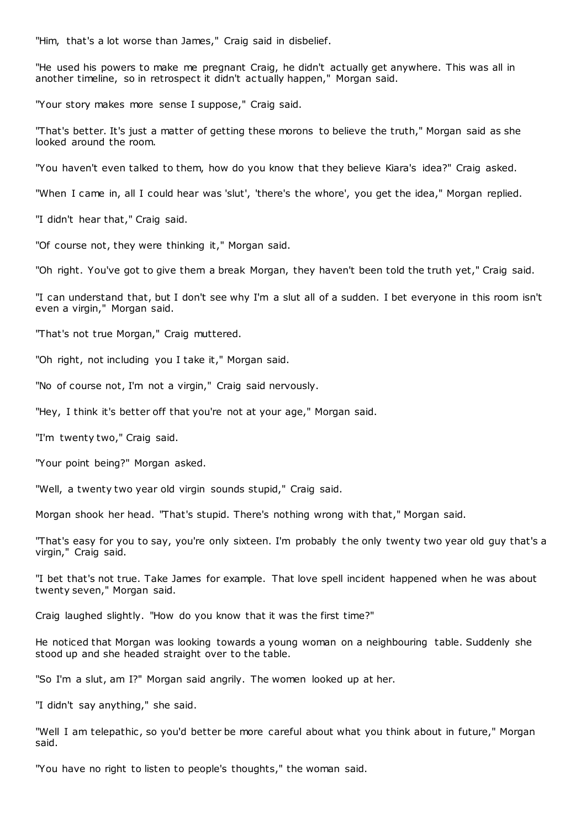"Him, that's a lot worse than James," Craig said in disbelief.

"He used his powers to make me pregnant Craig, he didn't actually get anywhere. This was all in another timeline, so in retrospect it didn't actually happen," Morgan said.

"Your story makes more sense I suppose," Craig said.

"That's better. It's just a matter of getting these morons to believe the truth," Morgan said as she looked around the room.

"You haven't even talked to them, how do you know that they believe Kiara's idea?" Craig asked.

"When I came in, all I could hear was 'slut', 'there's the whore', you get the idea," Morgan replied.

"I didn't hear that," Craig said.

"Of course not, they were thinking it," Morgan said.

"Oh right. You've got to give them a break Morgan, they haven't been told the truth yet," Craig said.

"I can understand that, but I don't see why I'm a slut all of a sudden. I bet everyone in this room isn't even a virgin," Morgan said.

"That's not true Morgan," Craig muttered.

"Oh right, not including you I take it," Morgan said.

"No of course not, I'm not a virgin," Craig said nervously.

"Hey, I think it's better off that you're not at your age," Morgan said.

"I'm twenty two," Craig said.

"Your point being?" Morgan asked.

"Well, a twenty two year old virgin sounds stupid," Craig said.

Morgan shook her head. "That's stupid. There's nothing wrong with that," Morgan said.

"That's easy for you to say, you're only sixteen. I'm probably the only twenty two year old guy that's a virgin," Craig said.

"I bet that's not true. Take James for example. That love spell incident happened when he was about twenty seven," Morgan said.

Craig laughed slightly. "How do you know that it was the first time?"

He noticed that Morgan was looking towards a young woman on a neighbouring table. Suddenly she stood up and she headed straight over to the table.

"So I'm a slut, am I?" Morgan said angrily. The women looked up at her.

"I didn't say anything," she said.

"Well I am telepathic, so you'd better be more careful about what you think about in future," Morgan said.

"You have no right to listen to people's thoughts," the woman said.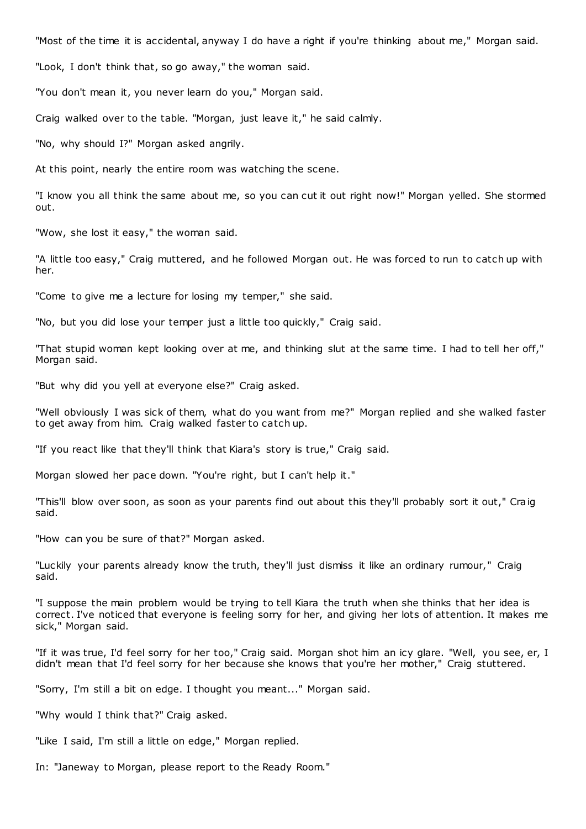"Most of the time it is accidental, anyway I do have a right if you're thinking about me," Morgan said.

"Look, I don't think that, so go away," the woman said.

"You don't mean it, you never learn do you," Morgan said.

Craig walked over to the table. "Morgan, just leave it," he said calmly.

"No, why should I?" Morgan asked angrily.

At this point, nearly the entire room was watching the scene.

"I know you all think the same about me, so you can cut it out right now!" Morgan yelled. She stormed out.

"Wow, she lost it easy," the woman said.

"A little too easy," Craig muttered, and he followed Morgan out. He was forced to run to catch up with her.

"Come to give me a lecture for losing my temper," she said.

"No, but you did lose your temper just a little too quickly," Craig said.

"That stupid woman kept looking over at me, and thinking slut at the same time. I had to tell her off," Morgan said.

"But why did you yell at everyone else?" Craig asked.

"Well obviously I was sick of them, what do you want from me?" Morgan replied and she walked faster to get away from him. Craig walked faster to catch up.

"If you react like that they'll think that Kiara's story is true," Craig said.

Morgan slowed her pace down. "You're right, but I can't help it."

"This'll blow over soon, as soon as your parents find out about this they'll probably sort it out," Craig said.

"How can you be sure of that?" Morgan asked.

"Luckily your parents already know the truth, they'll just dismiss it like an ordinary rumour," Craig said.

"I suppose the main problem would be trying to tell Kiara the truth when she thinks that her idea is correct. I've noticed that everyone is feeling sorry for her, and giving her lots of attention. It makes me sick," Morgan said.

"If it was true, I'd feel sorry for her too," Craig said. Morgan shot him an icy glare. "Well, you see, er, I didn't mean that I'd feel sorry for her because she knows that you're her mother," Craig stuttered.

"Sorry, I'm still a bit on edge. I thought you meant..." Morgan said.

"Why would I think that?" Craig asked.

"Like I said, I'm still a little on edge," Morgan replied.

In: "Janeway to Morgan, please report to the Ready Room."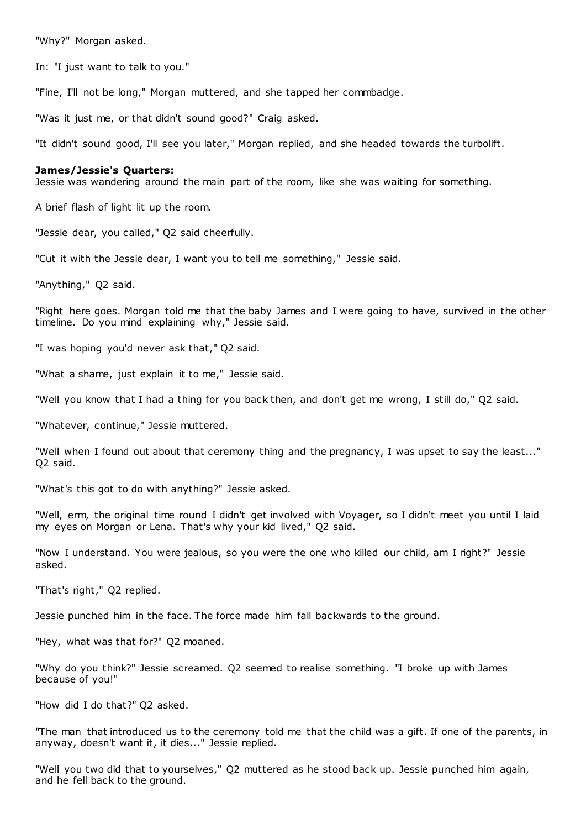"Why?" Morgan asked.

In: "I just want to talk to you."

"Fine, I'll not be long," Morgan muttered, and she tapped her commbadge.

"Was it just me, or that didn't sound good?" Craig asked.

"It didn't sound good, I'll see you later," Morgan replied, and she headed towards the turbolift.

### **James/Jessie's Quarters:**

Jessie was wandering around the main part of the room, like she was waiting for something.

A brief flash of light lit up the room.

"Jessie dear, you called," Q2 said cheerfully.

"Cut it with the Jessie dear, I want you to tell me something," Jessie said.

"Anything," Q2 said.

"Right here goes. Morgan told me that the baby James and I were going to have, survived in the other timeline. Do you mind explaining why," Jessie said.

"I was hoping you'd never ask that," Q2 said.

"What a shame, just explain it to me," Jessie said.

"Well you know that I had a thing for you back then, and don't get me wrong, I still do," Q2 said.

"Whatever, continue," Jessie muttered.

"Well when I found out about that ceremony thing and the pregnancy, I was upset to say the least..." Q2 said.

"What's this got to do with anything?" Jessie asked.

"Well, erm, the original time round I didn't get involved with Voyager, so I didn't meet you until I laid my eyes on Morgan or Lena. That's why your kid lived," Q2 said.

"Now I understand. You were jealous, so you were the one who killed our child, am I right?" Jessie asked.

"That's right," Q2 replied.

Jessie punched him in the face. The force made him fall backwards to the ground.

"Hey, what was that for?" Q2 moaned.

"Why do you think?" Jessie screamed. Q2 seemed to realise something. "I broke up with James because of you!"

"How did I do that?" Q2 asked.

"The man that introduced us to the ceremony told me that the child was a gift. If one of the parents, in anyway, doesn't want it, it dies..." Jessie replied.

"Well you two did that to yourselves," Q2 muttered as he stood back up. Jessie punched him again, and he fell back to the ground.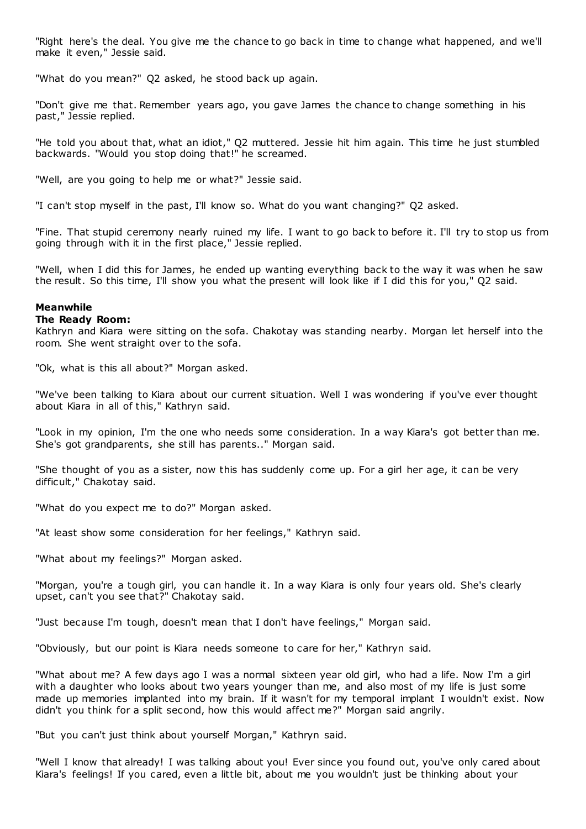"Right here's the deal. You give me the chance to go back in time to change what happened, and we'll make it even," Jessie said.

"What do you mean?" Q2 asked, he stood back up again.

"Don't give me that. Remember years ago, you gave James the chance to change something in his past," Jessie replied.

"He told you about that, what an idiot," Q2 muttered. Jessie hit him again. This time he just stumbled backwards. "Would you stop doing that!" he screamed.

"Well, are you going to help me or what?" Jessie said.

"I can't stop myself in the past, I'll know so. What do you want changing?" Q2 asked.

"Fine. That stupid ceremony nearly ruined my life. I want to go back to before it. I'll try to stop us from going through with it in the first place," Jessie replied.

"Well, when I did this for James, he ended up wanting everything back to the way it was when he saw the result. So this time, I'll show you what the present will look like if I did this for you," Q2 said.

# **Meanwhile**

### **The Ready Room:**

Kathryn and Kiara were sitting on the sofa. Chakotay was standing nearby. Morgan let herself into the room. She went straight over to the sofa.

"Ok, what is this all about?" Morgan asked.

"We've been talking to Kiara about our current situation. Well I was wondering if you've ever thought about Kiara in all of this," Kathryn said.

"Look in my opinion, I'm the one who needs some consideration. In a way Kiara's got better than me. She's got grandparents, she still has parents.." Morgan said.

"She thought of you as a sister, now this has suddenly come up. For a girl her age, it can be very difficult," Chakotay said.

"What do you expect me to do?" Morgan asked.

"At least show some consideration for her feelings," Kathryn said.

"What about my feelings?" Morgan asked.

"Morgan, you're a tough girl, you can handle it. In a way Kiara is only four years old. She's clearly upset, can't you see that?" Chakotay said.

"Just because I'm tough, doesn't mean that I don't have feelings," Morgan said.

"Obviously, but our point is Kiara needs someone to care for her," Kathryn said.

"What about me? A few days ago I was a normal sixteen year old girl, who had a life. Now I'm a girl with a daughter who looks about two years younger than me, and also most of my life is just some made up memories implanted into my brain. If it wasn't for my temporal implant I wouldn't exist. Now didn't you think for a split second, how this would affect me?" Morgan said angrily.

"But you can't just think about yourself Morgan," Kathryn said.

"Well I know that already! I was talking about you! Ever since you found out, you've only cared about Kiara's feelings! If you cared, even a little bit, about me you wouldn't just be thinking about your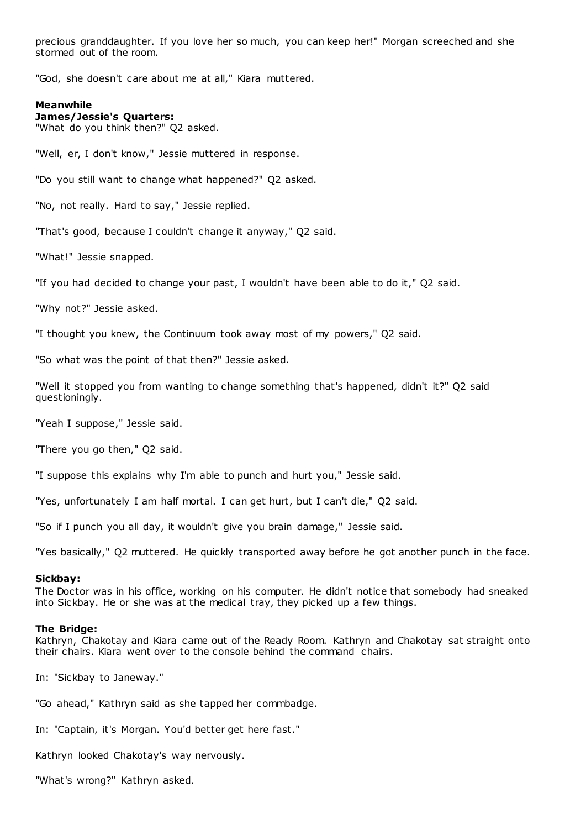precious granddaughter. If you love her so much, you can keep her!" Morgan screeched and she stormed out of the room.

"God, she doesn't care about me at all," Kiara muttered.

# **Meanwhile**

**James/Jessie's Quarters:**

"What do you think then?" Q2 asked.

"Well, er, I don't know," Jessie muttered in response.

"Do you still want to change what happened?" Q2 asked.

"No, not really. Hard to say," Jessie replied.

"That's good, because I couldn't change it anyway," Q2 said.

"What!" Jessie snapped.

"If you had decided to change your past, I wouldn't have been able to do it," Q2 said.

"Why not?" Jessie asked.

"I thought you knew, the Continuum took away most of my powers," Q2 said.

"So what was the point of that then?" Jessie asked.

"Well it stopped you from wanting to change something that's happened, didn't it?" Q2 said questioningly.

"Yeah I suppose," Jessie said.

"There you go then," Q2 said.

"I suppose this explains why I'm able to punch and hurt you," Jessie said.

"Yes, unfortunately I am half mortal. I can get hurt, but I can't die," Q2 said.

"So if I punch you all day, it wouldn't give you brain damage," Jessie said.

"Yes basically," Q2 muttered. He quickly transported away before he got another punch in the face.

## **Sickbay:**

The Doctor was in his office, working on his computer. He didn't notice that somebody had sneaked into Sickbay. He or she was at the medical tray, they picked up a few things.

### **The Bridge:**

Kathryn, Chakotay and Kiara came out of the Ready Room. Kathryn and Chakotay sat straight onto their chairs. Kiara went over to the console behind the command chairs.

In: "Sickbay to Janeway."

"Go ahead," Kathryn said as she tapped her commbadge.

In: "Captain, it's Morgan. You'd better get here fast."

Kathryn looked Chakotay's way nervously.

"What's wrong?" Kathryn asked.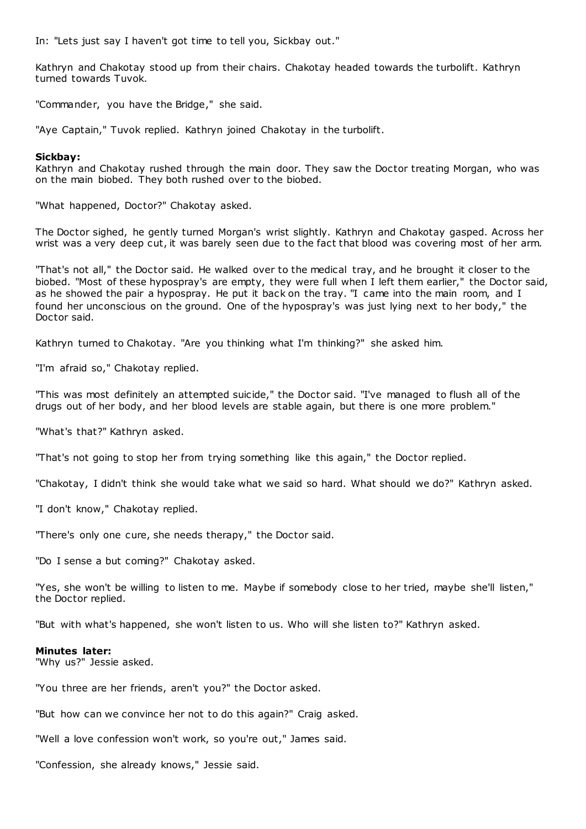In: "Lets just say I haven't got time to tell you, Sickbay out."

Kathryn and Chakotay stood up from their chairs. Chakotay headed towards the turbolift. Kathryn turned towards Tuvok.

"Commander, you have the Bridge," she said.

"Aye Captain," Tuvok replied. Kathryn joined Chakotay in the turbolift.

# **Sickbay:**

Kathryn and Chakotay rushed through the main door. They saw the Doctor treating Morgan, who was on the main biobed. They both rushed over to the biobed.

"What happened, Doctor?" Chakotay asked.

The Doctor sighed, he gently turned Morgan's wrist slightly. Kathryn and Chakotay gasped. Across her wrist was a very deep cut, it was barely seen due to the fact that blood was covering most of her arm.

"That's not all," the Doctor said. He walked over to the medical tray, and he brought it closer to the biobed. "Most of these hypospray's are empty, they were full when I left them earlier," the Doctor said, as he showed the pair a hypospray. He put it back on the tray. "I came into the main room, and I found her unconscious on the ground. One of the hypospray's was just lying next to her body," the Doctor said.

Kathryn turned to Chakotay. "Are you thinking what I'm thinking?" she asked him.

"I'm afraid so," Chakotay replied.

"This was most definitely an attempted suicide," the Doctor said. "I've managed to flush all of the drugs out of her body, and her blood levels are stable again, but there is one more problem."

"What's that?" Kathryn asked.

"That's not going to stop her from trying something like this again," the Doctor replied.

"Chakotay, I didn't think she would take what we said so hard. What should we do?" Kathryn asked.

"I don't know," Chakotay replied.

"There's only one cure, she needs therapy," the Doctor said.

"Do I sense a but coming?" Chakotay asked.

"Yes, she won't be willing to listen to me. Maybe if somebody close to her tried, maybe she'll listen," the Doctor replied.

"But with what's happened, she won't listen to us. Who will she listen to?" Kathryn asked.

## **Minutes later:**

"Why us?" Jessie asked.

"You three are her friends, aren't you?" the Doctor asked.

"But how can we convince her not to do this again?" Craig asked.

"Well a love confession won't work, so you're out," James said.

"Confession, she already knows," Jessie said.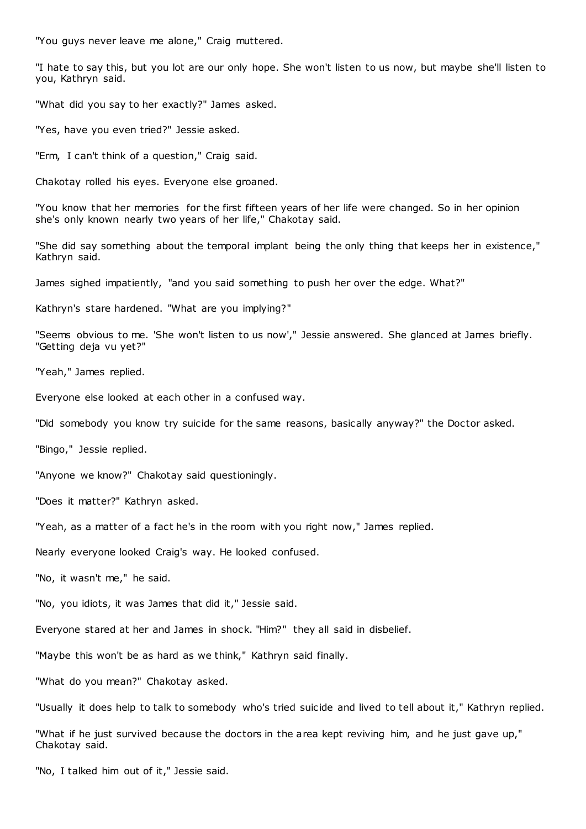"You guys never leave me alone," Craig muttered.

"I hate to say this, but you lot are our only hope. She won't listen to us now, but maybe she'll listen to you, Kathryn said.

"What did you say to her exactly?" James asked.

"Yes, have you even tried?" Jessie asked.

"Erm, I can't think of a question," Craig said.

Chakotay rolled his eyes. Everyone else groaned.

"You know that her memories for the first fifteen years of her life were changed. So in her opinion she's only known nearly two years of her life," Chakotay said.

"She did say something about the temporal implant being the only thing that keeps her in existence," Kathryn said.

James sighed impatiently, "and you said something to push her over the edge. What?"

Kathryn's stare hardened. "What are you implying?"

"Seems obvious to me. 'She won't listen to us now'," Jessie answered. She glanced at James briefly. "Getting deja vu yet?"

"Yeah," James replied.

Everyone else looked at each other in a confused way.

"Did somebody you know try suicide for the same reasons, basically anyway?" the Doctor asked.

"Bingo," Jessie replied.

"Anyone we know?" Chakotay said questioningly.

"Does it matter?" Kathryn asked.

"Yeah, as a matter of a fact he's in the room with you right now," James replied.

Nearly everyone looked Craig's way. He looked confused.

"No, it wasn't me," he said.

"No, you idiots, it was James that did it," Jessie said.

Everyone stared at her and James in shock. "Him?" they all said in disbelief.

"Maybe this won't be as hard as we think," Kathryn said finally.

"What do you mean?" Chakotay asked.

"Usually it does help to talk to somebody who's tried suicide and lived to tell about it," Kathryn replied.

"What if he just survived because the doctors in the area kept reviving him, and he just gave up," Chakotay said.

"No, I talked him out of it," Jessie said.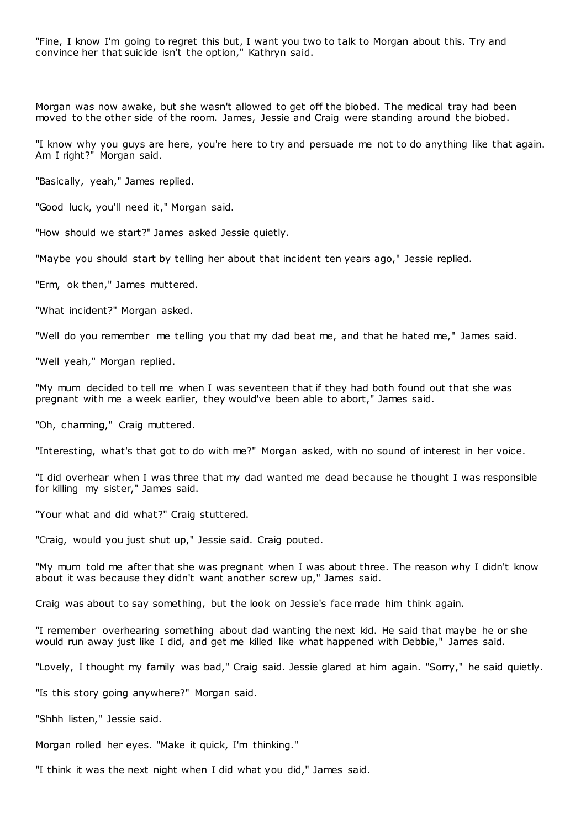"Fine, I know I'm going to regret this but, I want you two to talk to Morgan about this. Try and convince her that suicide isn't the option," Kathryn said.

Morgan was now awake, but she wasn't allowed to get off the biobed. The medical tray had been moved to the other side of the room. James, Jessie and Craig were standing around the biobed.

"I know why you guys are here, you're here to try and persuade me not to do anything like that again. Am I right?" Morgan said.

"Basically, yeah," James replied.

"Good luck, you'll need it," Morgan said.

"How should we start?" James asked Jessie quietly.

"Maybe you should start by telling her about that incident ten years ago," Jessie replied.

"Erm, ok then," James muttered.

"What incident?" Morgan asked.

"Well do you remember me telling you that my dad beat me, and that he hated me," James said.

"Well yeah," Morgan replied.

"My mum decided to tell me when I was seventeen that if they had both found out that she was pregnant with me a week earlier, they would've been able to abort," James said.

"Oh, charming," Craig muttered.

"Interesting, what's that got to do with me?" Morgan asked, with no sound of interest in her voice.

"I did overhear when I was three that my dad wanted me dead because he thought I was responsible for killing my sister," James said.

"Your what and did what?" Craig stuttered.

"Craig, would you just shut up," Jessie said. Craig pouted.

"My mum told me after that she was pregnant when I was about three. The reason why I didn't know about it was because they didn't want another screw up," James said.

Craig was about to say something, but the look on Jessie's face made him think again.

"I remember overhearing something about dad wanting the next kid. He said that maybe he or she would run away just like I did, and get me killed like what happened with Debbie," James said.

"Lovely, I thought my family was bad," Craig said. Jessie glared at him again. "Sorry," he said quietly.

"Is this story going anywhere?" Morgan said.

"Shhh listen," Jessie said.

Morgan rolled her eyes. "Make it quick, I'm thinking."

"I think it was the next night when I did what you did," James said.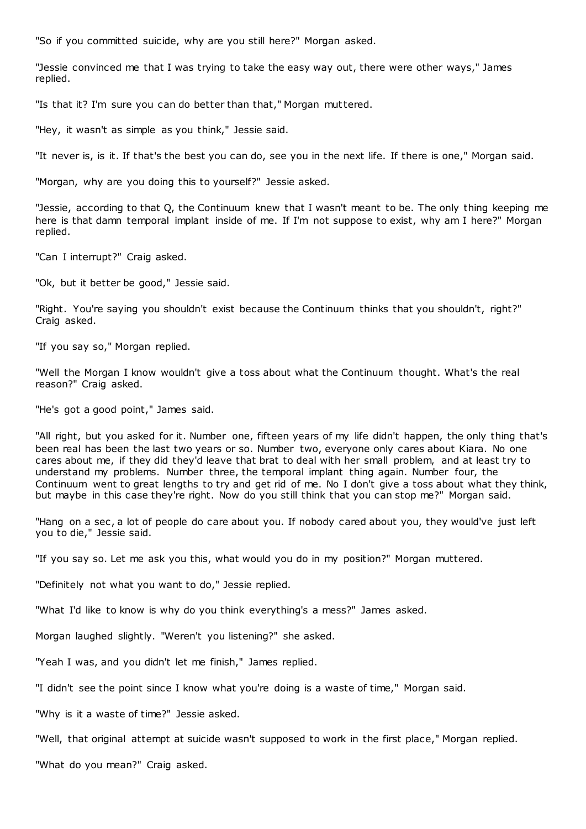"So if you committed suicide, why are you still here?" Morgan asked.

"Jessie convinced me that I was trying to take the easy way out, there were other ways," James replied.

"Is that it? I'm sure you can do better than that," Morgan muttered.

"Hey, it wasn't as simple as you think," Jessie said.

"It never is, is it. If that's the best you can do, see you in the next life. If there is one," Morgan said.

"Morgan, why are you doing this to yourself?" Jessie asked.

"Jessie, according to that Q, the Continuum knew that I wasn't meant to be. The only thing keeping me here is that damn temporal implant inside of me. If I'm not suppose to exist, why am I here?" Morgan replied.

"Can I interrupt?" Craig asked.

"Ok, but it better be good," Jessie said.

"Right. You're saying you shouldn't exist because the Continuum thinks that you shouldn't, right?" Craig asked.

"If you say so," Morgan replied.

"Well the Morgan I know wouldn't give a toss about what the Continuum thought. What's the real reason?" Craig asked.

"He's got a good point," James said.

"All right, but you asked for it. Number one, fifteen years of my life didn't happen, the only thing that's been real has been the last two years or so. Number two, everyone only cares about Kiara. No one cares about me, if they did they'd leave that brat to deal with her small problem, and at least try to understand my problems. Number three, the temporal implant thing again. Number four, the Continuum went to great lengths to try and get rid of me. No I don't give a toss about what they think, but maybe in this case they're right. Now do you still think that you can stop me?" Morgan said.

"Hang on a sec, a lot of people do care about you. If nobody cared about you, they would've just left you to die," Jessie said.

"If you say so. Let me ask you this, what would you do in my position?" Morgan muttered.

"Definitely not what you want to do," Jessie replied.

"What I'd like to know is why do you think everything's a mess?" James asked.

Morgan laughed slightly. "Weren't you listening?" she asked.

"Yeah I was, and you didn't let me finish," James replied.

"I didn't see the point since I know what you're doing is a waste of time," Morgan said.

"Why is it a waste of time?" Jessie asked.

"Well, that original attempt at suicide wasn't supposed to work in the first place," Morgan replied.

"What do you mean?" Craig asked.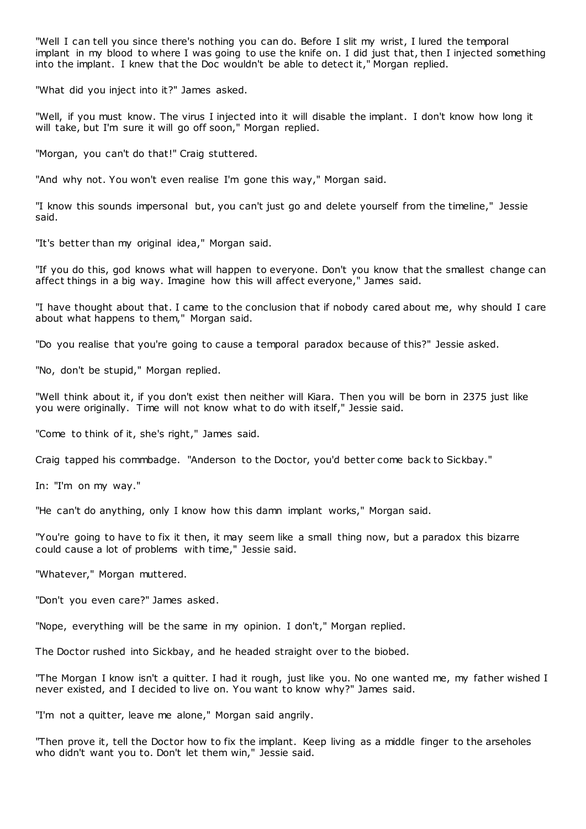"Well I can tell you since there's nothing you can do. Before I slit my wrist, I lured the temporal implant in my blood to where I was going to use the knife on. I did just that, then I injected something into the implant. I knew that the Doc wouldn't be able to detect it," Morgan replied.

"What did you inject into it?" James asked.

"Well, if you must know. The virus I injected into it will disable the implant. I don't know how long it will take, but I'm sure it will go off soon," Morgan replied.

"Morgan, you can't do that!" Craig stuttered.

"And why not. You won't even realise I'm gone this way," Morgan said.

"I know this sounds impersonal but, you can't just go and delete yourself from the timeline," Jessie said.

"It's better than my original idea," Morgan said.

"If you do this, god knows what will happen to everyone. Don't you know that the smallest change can affect things in a big way. Imagine how this will affect everyone," James said.

"I have thought about that. I came to the conclusion that if nobody cared about me, why should I care about what happens to them," Morgan said.

"Do you realise that you're going to cause a temporal paradox because of this?" Jessie asked.

"No, don't be stupid," Morgan replied.

"Well think about it, if you don't exist then neither will Kiara. Then you will be born in 2375 just like you were originally. Time will not know what to do with itself," Jessie said.

"Come to think of it, she's right," James said.

Craig tapped his commbadge. "Anderson to the Doctor, you'd better come back to Sickbay."

In: "I'm on my way."

"He can't do anything, only I know how this damn implant works," Morgan said.

"You're going to have to fix it then, it may seem like a small thing now, but a paradox this bizarre could cause a lot of problems with time," Jessie said.

"Whatever," Morgan muttered.

"Don't you even care?" James asked.

"Nope, everything will be the same in my opinion. I don't," Morgan replied.

The Doctor rushed into Sickbay, and he headed straight over to the biobed.

"The Morgan I know isn't a quitter. I had it rough, just like you. No one wanted me, my father wished I never existed, and I decided to live on. You want to know why?" James said.

"I'm not a quitter, leave me alone," Morgan said angrily.

"Then prove it, tell the Doctor how to fix the implant. Keep living as a middle finger to the arseholes who didn't want you to. Don't let them win," Jessie said.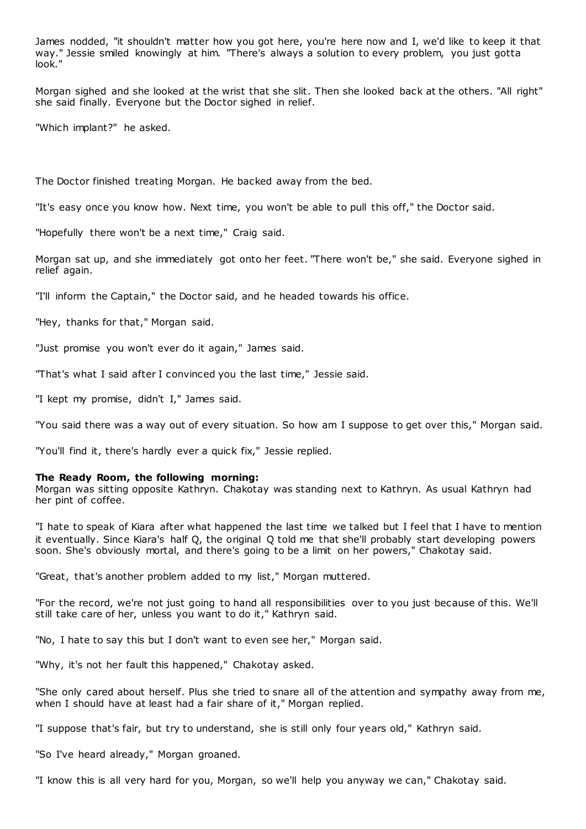James nodded, "it shouldn't matter how you got here, you're here now and I, we'd like to keep it that way." Jessie smiled knowingly at him. "There's always a solution to every problem, you just gotta look."

Morgan sighed and she looked at the wrist that she slit. Then she looked back at the others. "All right" she said finally. Everyone but the Doctor sighed in relief.

"Which implant?" he asked.

The Doctor finished treating Morgan. He backed away from the bed.

"It's easy once you know how. Next time, you won't be able to pull this off," the Doctor said.

"Hopefully there won't be a next time," Craig said.

Morgan sat up, and she immediately got onto her feet. "There won't be," she said. Everyone sighed in relief again.

"I'll inform the Captain," the Doctor said, and he headed towards his office.

"Hey, thanks for that," Morgan said.

"Just promise you won't ever do it again," James said.

"That's what I said after I convinced you the last time," Jessie said.

"I kept my promise, didn't I," James said.

"You said there was a way out of every situation. So how am I suppose to get over this," Morgan said.

"You'll find it, there's hardly ever a quick fix," Jessie replied.

# **The Ready Room, the following morning:**

Morgan was sitting opposite Kathryn. Chakotay was standing next to Kathryn. As usual Kathryn had her pint of coffee.

"I hate to speak of Kiara after what happened the last time we talked but I feel that I have to mention it eventually. Since Kiara's half Q, the original Q told me that she'll probably start developing powers soon. She's obviously mortal, and there's going to be a limit on her powers," Chakotay said.

"Great, that's another problem added to my list," Morgan muttered.

"For the record, we're not just going to hand all responsibilities over to you just because of this. We'll still take care of her, unless you want to do it," Kathryn said.

"No, I hate to say this but I don't want to even see her," Morgan said.

"Why, it's not her fault this happened," Chakotay asked.

"She only cared about herself. Plus she tried to snare all of the attention and sympathy away from me, when I should have at least had a fair share of it," Morgan replied.

"I suppose that's fair, but try to understand, she is still only four years old," Kathryn said.

"So I've heard already," Morgan groaned.

"I know this is all very hard for you, Morgan, so we'll help you anyway we can," Chakotay said.